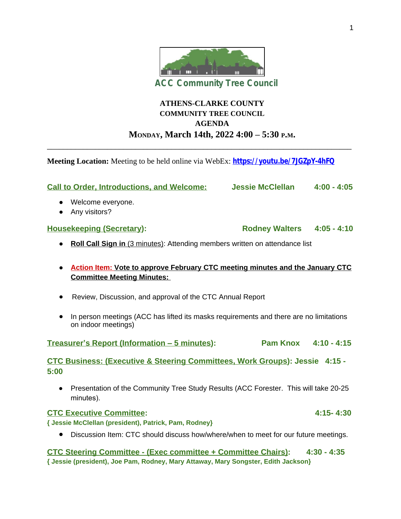

# **ATHENS-CLARKE COUNTY COMMUNITY TREE COUNCIL AGENDA MONDAY, March 14th, 2022 4:00 – 5:30 P.M.**

**Meeting Location:** Meeting to be held online via WebEx: **<https://youtu.be/7JGZpY-4hFQ>**

\_\_\_\_\_\_\_\_\_\_\_\_\_\_\_\_\_\_\_\_\_\_\_\_\_\_\_\_\_\_\_\_\_\_\_\_\_\_\_\_\_\_\_\_\_\_\_\_\_\_\_\_\_\_\_\_\_\_\_\_\_\_\_\_\_\_\_\_\_\_\_\_\_\_\_\_

| <b>Call to Order, Introductions, and Welcome:</b>                                                                  | <b>Jessie McClellan</b>    | $4:00 - 4:05$ |
|--------------------------------------------------------------------------------------------------------------------|----------------------------|---------------|
| Welcome everyone.<br>$\bullet$<br>Any visitors?<br>$\bullet$                                                       |                            |               |
| <b>Housekeeping (Secretary):</b>                                                                                   | Rodney Walters 4:05 - 4:10 |               |
| Roll Call Sign in (3 minutes): Attending members written on attendance list<br>$\bullet$                           |                            |               |
| Action Item: Vote to approve February CTC meeting minutes and the January CTC<br><b>Committee Meeting Minutes:</b> |                            |               |
| Review, Discussion, and approval of the CTC Annual Report<br>$\bullet$                                             |                            |               |
| In person meetings (ACC has lifted its masks requirements and there are no limitations<br>on indoor meetings)      |                            |               |
| Treasurer's Report (Information - 5 minutes):                                                                      | Pam Knox 4:10 - 4:15       |               |
| CTC Business: (Executive & Steering Committees, Work Groups): Jessie 4:15 -<br>5:00                                |                            |               |
| Presentation of the Community Tree Study Results (ACC Forester. This will take 20-25<br>$\bullet$<br>minutes).     |                            |               |
| <b>CTC Executive Committee:</b>                                                                                    |                            | $4:15 - 4:30$ |
| { Jessie McClellan (president), Patrick, Pam, Rodney}                                                              |                            |               |
| Discussion Item: CTC should discuss how/where/when to meet for our future meetings.<br>$\bullet$                   |                            |               |
| <b>CTC Steering Committee - (Exec committee + Committee Chairs):</b>                                               |                            | $4:30 - 4:35$ |
| { Jessie (president), Joe Pam, Rodney, Mary Attaway, Mary Songster, Edith Jackson}                                 |                            |               |